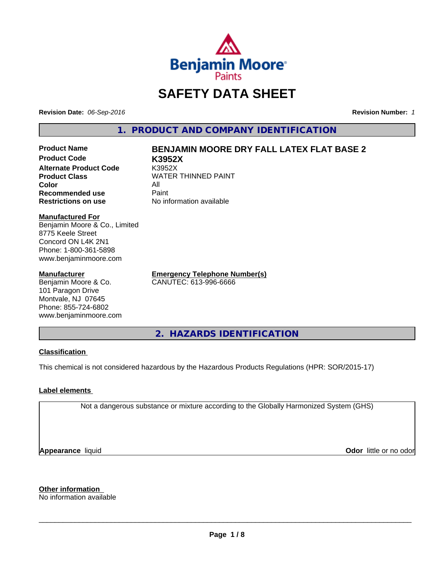

## **SAFETY DATA SHEET**

**Revision Date:** *06-Sep-2016* **Revision Number:** *1*

**1. PRODUCT AND COMPANY IDENTIFICATION**

**Product Code K3952X Alternate Product Code** K3952X **Product Class WATER THINNED PAINT Color** All **Recommended use Paint Restrictions on use** No information available

## **Product Name BENJAMIN MOORE DRY FALL LATEX FLAT BASE 2**

**Manufactured For**

Benjamin Moore & Co., Limited 8775 Keele Street Concord ON L4K 2N1 Phone: 1-800-361-5898 www.benjaminmoore.com

#### **Manufacturer**

Benjamin Moore & Co. 101 Paragon Drive Montvale, NJ 07645 Phone: 855-724-6802 www.benjaminmoore.com **Emergency Telephone Number(s)** CANUTEC: 613-996-6666

**2. HAZARDS IDENTIFICATION**

#### **Classification**

This chemical is not considered hazardous by the Hazardous Products Regulations (HPR: SOR/2015-17)

#### **Label elements**

Not a dangerous substance or mixture according to the Globally Harmonized System (GHS)

**Appearance** liquid

**Odor** little or no odor

**Other information** No information available

 $\overline{\phantom{a}}$  ,  $\overline{\phantom{a}}$  ,  $\overline{\phantom{a}}$  ,  $\overline{\phantom{a}}$  ,  $\overline{\phantom{a}}$  ,  $\overline{\phantom{a}}$  ,  $\overline{\phantom{a}}$  ,  $\overline{\phantom{a}}$  ,  $\overline{\phantom{a}}$  ,  $\overline{\phantom{a}}$  ,  $\overline{\phantom{a}}$  ,  $\overline{\phantom{a}}$  ,  $\overline{\phantom{a}}$  ,  $\overline{\phantom{a}}$  ,  $\overline{\phantom{a}}$  ,  $\overline{\phantom{a}}$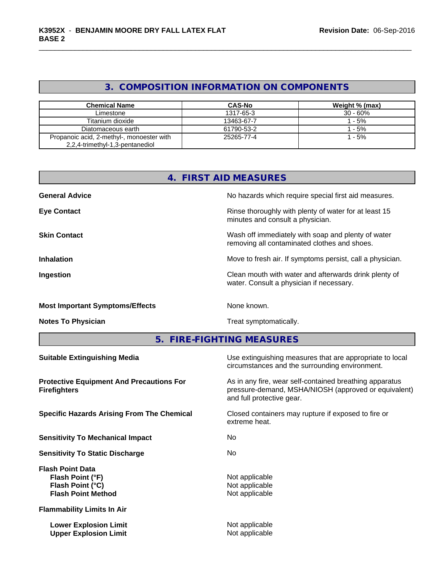## **3. COMPOSITION INFORMATION ON COMPONENTS**

| <b>Chemical Name</b>                                                         | <b>CAS-No</b> | Weight % (max) |
|------------------------------------------------------------------------------|---------------|----------------|
| Limestone                                                                    | 1317-65-3     | $30 - 60%$     |
| Titanium dioxide                                                             | 13463-67-7    | - 5%           |
| Diatomaceous earth                                                           | 61790-53-2    | - 5%           |
| Propanoic acid, 2-methyl-, monoester with<br>2,2,4-trimethyl-1,3-pentanediol | 25265-77-4    | - 5%           |

|                                        | 4. FIRST AID MEASURES                                                                              |
|----------------------------------------|----------------------------------------------------------------------------------------------------|
| <b>General Advice</b>                  | No hazards which require special first aid measures.                                               |
| <b>Eye Contact</b>                     | Rinse thoroughly with plenty of water for at least 15<br>minutes and consult a physician.          |
| <b>Skin Contact</b>                    | Wash off immediately with soap and plenty of water<br>removing all contaminated clothes and shoes. |
| <b>Inhalation</b>                      | Move to fresh air. If symptoms persist, call a physician.                                          |
| Ingestion                              | Clean mouth with water and afterwards drink plenty of<br>water. Consult a physician if necessary.  |
| <b>Most Important Symptoms/Effects</b> | None known.                                                                                        |

**Notes To Physician Treat symptomatically.** 

**5. FIRE-FIGHTING MEASURES**

| <b>Suitable Extinguishing Media</b>                                                          | Use extinguishing measures that are appropriate to local<br>circumstances and the surrounding environment.                                   |
|----------------------------------------------------------------------------------------------|----------------------------------------------------------------------------------------------------------------------------------------------|
| <b>Protective Equipment And Precautions For</b><br><b>Firefighters</b>                       | As in any fire, wear self-contained breathing apparatus<br>pressure-demand, MSHA/NIOSH (approved or equivalent)<br>and full protective gear. |
| <b>Specific Hazards Arising From The Chemical</b>                                            | Closed containers may rupture if exposed to fire or<br>extreme heat.                                                                         |
| <b>Sensitivity To Mechanical Impact</b>                                                      | No.                                                                                                                                          |
| <b>Sensitivity To Static Discharge</b>                                                       | No.                                                                                                                                          |
| <b>Flash Point Data</b><br>Flash Point (°F)<br>Flash Point (°C)<br><b>Flash Point Method</b> | Not applicable<br>Not applicable<br>Not applicable                                                                                           |
| <b>Flammability Limits In Air</b>                                                            |                                                                                                                                              |
| <b>Lower Explosion Limit</b><br><b>Upper Explosion Limit</b>                                 | Not applicable<br>Not applicable                                                                                                             |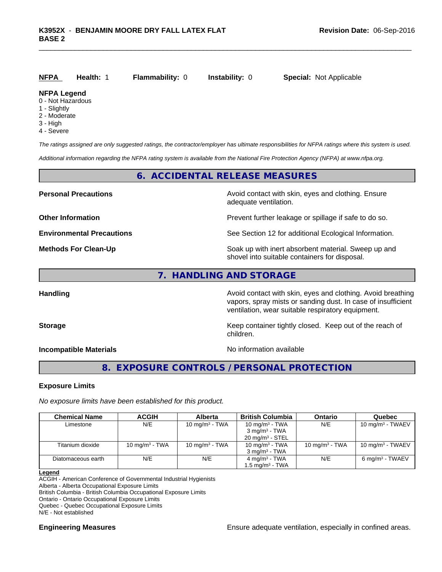| <u>NFPA</u> | <b>Health: 1</b> | <b>Flammability: 0</b> | <b>Instability: 0</b> | <b>Special: Not Applicable</b> |
|-------------|------------------|------------------------|-----------------------|--------------------------------|
| NEDA Logand |                  |                        |                       |                                |

#### **NFPA Legend**

- 0 Not Hazardous
- 1 Slightly
- 2 Moderate
- 3 High
- 4 Severe

*The ratings assigned are only suggested ratings, the contractor/employer has ultimate responsibilities for NFPA ratings where this system is used.*

*Additional information regarding the NFPA rating system is available from the National Fire Protection Agency (NFPA) at www.nfpa.org.*

#### **6. ACCIDENTAL RELEASE MEASURES**

**Personal Precautions Avoid contact with skin, eyes and clothing. Ensure** Avoid contact with skin, eyes and clothing. Ensure adequate ventilation.

**Other Information Department Information Department Intervent further leakage or spillage if safe to do so.** 

**Environmental Precautions** See Section 12 for additional Ecological Information.

**Methods For Clean-Up Soak** up with inert absorbent material. Sweep up and shovel into suitable containers for disposal.

**7. HANDLING AND STORAGE**

**Handling Avoid contact with skin, eyes and clothing. Avoid breathing Handling Avoid breathing** vapors, spray mists or sanding dust. In case of insufficient ventilation, wear suitable respiratory equipment.

**Storage Keep container tightly closed. Keep out of the reach of Keep** container tightly closed. Keep out of the reach of children.

**Incompatible Materials Incompatible Materials No information available** 

### **8. EXPOSURE CONTROLS / PERSONAL PROTECTION**

#### **Exposure Limits**

*No exposure limits have been established for this product.*

| <b>Chemical Name</b> | <b>ACGIH</b>      | <b>Alberta</b>    | <b>British Columbia</b>     | Ontario           | Quebec                      |
|----------------------|-------------------|-------------------|-----------------------------|-------------------|-----------------------------|
| Limestone            | N/E               | 10 mg/m $3$ - TWA | 10 mg/m $3$ - TWA           | N/E               | 10 mg/m $3$ - TWAEV         |
|                      |                   |                   | $3 \text{ mg/m}^3$ - TWA    |                   |                             |
|                      |                   |                   | $20 \text{ mg/m}^3$ - STEL  |                   |                             |
| Titanium dioxide     | 10 mg/m $3$ - TWA | 10 mg/m $3$ - TWA | 10 mg/m $3$ - TWA           | 10 mg/m $3$ - TWA | 10 mg/m $3$ - TWAEV         |
|                      |                   |                   | $3 \text{ ma/m}^3$ - TWA    |                   |                             |
| Diatomaceous earth   | N/E               | N/E               | $4 \text{ ma/m}^3$ - TWA    | N/E               | 6 mg/m <sup>3</sup> - TWAEV |
|                      |                   |                   | 1.5 mg/m <sup>3</sup> - TWA |                   |                             |

#### **Legend**

ACGIH - American Conference of Governmental Industrial Hygienists

Alberta - Alberta Occupational Exposure Limits

British Columbia - British Columbia Occupational Exposure Limits

Ontario - Ontario Occupational Exposure Limits

Quebec - Quebec Occupational Exposure Limits

N/E - Not established

**Engineering Measures Ensure** Ensure adequate ventilation, especially in confined areas.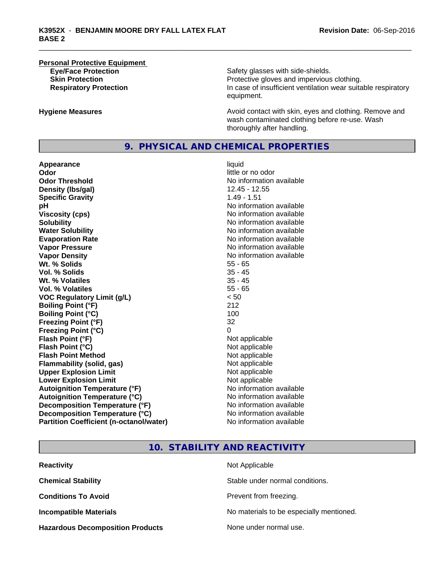# **Personal Protective Equipment**

Safety glasses with side-shields. **Skin Protection Protection** Protective gloves and impervious clothing. **Respiratory Protection In case of insufficient ventilation wear suitable respiratory** equipment.

**Hygiene Measures Avoid contact with skin, eyes and clothing. Remove and Avoid contact with skin, eyes and clothing. Remove and** wash contaminated clothing before re-use. Wash thoroughly after handling.

#### **9. PHYSICAL AND CHEMICAL PROPERTIES**

**Appearance** liquid **Odor** little or no odor **Odor Threshold No information available No information available Density (lbs/gal)** 12.45 - 12.55 **Specific Gravity** 1.49 - 1.51 **pH pH**  $\blacksquare$ **Viscosity (cps)** No information available<br> **Solubility** No information available<br>
No information available **Water Solubility Water Solubility No information available Evaporation Rate No information available No information available Vapor Pressure** No information available **Vapor Density Vapor Density No information available Wt. % Solids** 55 - 65 **Vol. % Solids** 35 - 45 **Wt. % Volatiles** 35 - 45 **Vol. % Volatiles** 55 - 65 **VOC Regulatory Limit (g/L)** < 50 **Boiling Point (°F)** 212 **Boiling Point (°C) Freezing Point (°F)** 32 **Freezing Point (°C)** 0 **Flash Point (°F)** Not applicable **Flash Point (°C)** Not applicable **Flash Point Method** Not applicable **Flammability (solid, gas)** Not applicable **Upper Explosion Limit** Not applicable **Lower Explosion Limit** Not applicable **Autoignition Temperature (°F)** No information available **Autoignition Temperature (°C)** No information available **Decomposition Temperature (°F)** No information available **Decomposition Temperature (°C)** No information available **Partition Coefficient (n-octanol/water)** No information available

No information available

#### **10. STABILITY AND REACTIVITY**

| <b>Reactivity</b>                       | Not Applicable                           |
|-----------------------------------------|------------------------------------------|
| <b>Chemical Stability</b>               | Stable under normal conditions.          |
| <b>Conditions To Avoid</b>              | Prevent from freezing.                   |
| <b>Incompatible Materials</b>           | No materials to be especially mentioned. |
| <b>Hazardous Decomposition Products</b> | None under normal use.                   |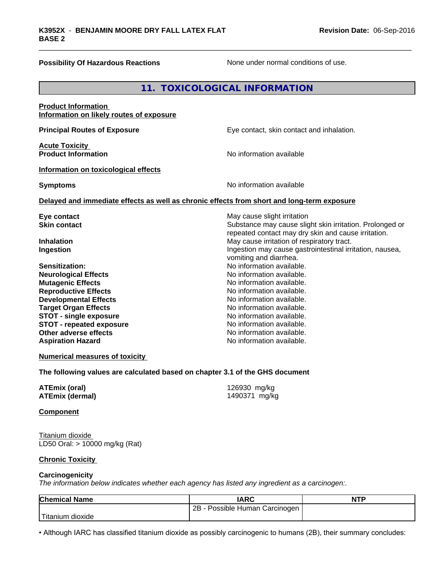#### **Possibility Of Hazardous Reactions** None under normal conditions of use.

Titanium dioxide

|                                                                                                                                                                                                                                                                                                         | 11. TOXICOLOGICAL INFORMATION                                                                                                                                                                                                                                                                  |                                                                                                                 |
|---------------------------------------------------------------------------------------------------------------------------------------------------------------------------------------------------------------------------------------------------------------------------------------------------------|------------------------------------------------------------------------------------------------------------------------------------------------------------------------------------------------------------------------------------------------------------------------------------------------|-----------------------------------------------------------------------------------------------------------------|
| <b>Product Information</b><br>Information on likely routes of exposure                                                                                                                                                                                                                                  |                                                                                                                                                                                                                                                                                                |                                                                                                                 |
| <b>Principal Routes of Exposure</b>                                                                                                                                                                                                                                                                     | Eye contact, skin contact and inhalation.                                                                                                                                                                                                                                                      |                                                                                                                 |
| <b>Acute Toxicity</b><br><b>Product Information</b>                                                                                                                                                                                                                                                     | No information available                                                                                                                                                                                                                                                                       |                                                                                                                 |
| Information on toxicological effects                                                                                                                                                                                                                                                                    |                                                                                                                                                                                                                                                                                                |                                                                                                                 |
| <b>Symptoms</b>                                                                                                                                                                                                                                                                                         | No information available                                                                                                                                                                                                                                                                       |                                                                                                                 |
| Delayed and immediate effects as well as chronic effects from short and long-term exposure                                                                                                                                                                                                              |                                                                                                                                                                                                                                                                                                |                                                                                                                 |
| Eye contact<br><b>Skin contact</b>                                                                                                                                                                                                                                                                      | May cause slight irritation                                                                                                                                                                                                                                                                    | Substance may cause slight skin irritation. Prolonged or<br>repeated contact may dry skin and cause irritation. |
| <b>Inhalation</b><br>Ingestion                                                                                                                                                                                                                                                                          | May cause irritation of respiratory tract.<br>vomiting and diarrhea.                                                                                                                                                                                                                           | Ingestion may cause gastrointestinal irritation, nausea,                                                        |
| <b>Sensitization:</b><br><b>Neurological Effects</b><br><b>Mutagenic Effects</b><br><b>Reproductive Effects</b><br><b>Developmental Effects</b><br><b>Target Organ Effects</b><br><b>STOT - single exposure</b><br><b>STOT - repeated exposure</b><br>Other adverse effects<br><b>Aspiration Hazard</b> | No information available.<br>No information available.<br>No information available.<br>No information available.<br>No information available.<br>No information available.<br>No information available.<br>No information available.<br>No information available.<br>No information available. |                                                                                                                 |
| <b>Numerical measures of toxicity</b><br>The following values are calculated based on chapter 3.1 of the GHS document                                                                                                                                                                                   |                                                                                                                                                                                                                                                                                                |                                                                                                                 |
| <b>ATEmix (oral)</b><br><b>ATEmix (dermal)</b>                                                                                                                                                                                                                                                          | 126930 mg/kg<br>1490371 mg/kg                                                                                                                                                                                                                                                                  |                                                                                                                 |
| <b>Component</b>                                                                                                                                                                                                                                                                                        |                                                                                                                                                                                                                                                                                                |                                                                                                                 |
| Titanium dioxide<br>LD50 Oral: > 10000 mg/kg (Rat)                                                                                                                                                                                                                                                      |                                                                                                                                                                                                                                                                                                |                                                                                                                 |
| <b>Chronic Toxicity</b>                                                                                                                                                                                                                                                                                 |                                                                                                                                                                                                                                                                                                |                                                                                                                 |
| Carcinogenicity<br>The information below indicates whether each agency has listed any ingredient as a carcinogen:.                                                                                                                                                                                      |                                                                                                                                                                                                                                                                                                |                                                                                                                 |
| <b>Chemical Name</b>                                                                                                                                                                                                                                                                                    | <b>IARC</b><br>2B - Possible Human Carcinogen                                                                                                                                                                                                                                                  | <b>NTP</b>                                                                                                      |

• Although IARC has classified titanium dioxide as possibly carcinogenic to humans (2B), their summary concludes: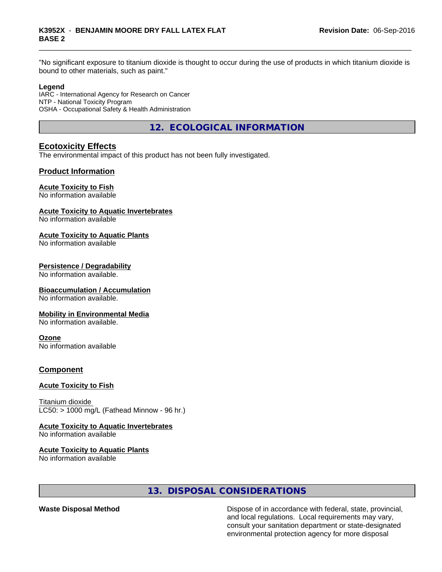"No significant exposure to titanium dioxide is thought to occur during the use of products in which titanium dioxide is bound to other materials, such as paint."

#### **Legend**

IARC - International Agency for Research on Cancer NTP - National Toxicity Program OSHA - Occupational Safety & Health Administration

**12. ECOLOGICAL INFORMATION**

#### **Ecotoxicity Effects**

The environmental impact of this product has not been fully investigated.

#### **Product Information**

#### **Acute Toxicity to Fish**

No information available

#### **Acute Toxicity to Aquatic Invertebrates**

No information available

#### **Acute Toxicity to Aquatic Plants**

No information available

#### **Persistence / Degradability**

No information available.

#### **Bioaccumulation / Accumulation**

No information available.

#### **Mobility in Environmental Media**

No information available.

#### **Ozone**

No information available

#### **Component**

#### **Acute Toxicity to Fish**

Titanium dioxide  $LC50:$  > 1000 mg/L (Fathead Minnow - 96 hr.)

#### **Acute Toxicity to Aquatic Invertebrates**

No information available

#### **Acute Toxicity to Aquatic Plants**

No information available

#### **13. DISPOSAL CONSIDERATIONS**

**Waste Disposal Method Dispose of in accordance with federal, state, provincial,** and local regulations. Local requirements may vary, consult your sanitation department or state-designated environmental protection agency for more disposal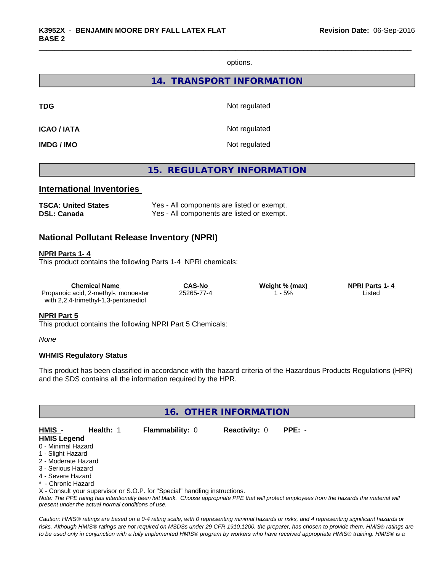options.

**14. TRANSPORT INFORMATION**

**TDG** Not regulated

**ICAO / IATA** Not regulated

**IMDG / IMO** Not regulated

#### **15. REGULATORY INFORMATION**

#### **International Inventories**

| <b>TSCA: United States</b> | Yes - All components are listed or exempt. |
|----------------------------|--------------------------------------------|
| DSL: Canada                | Yes - All components are listed or exempt. |

#### **National Pollutant Release Inventory (NPRI)**

#### **NPRI Parts 1- 4**

This product contains the following Parts 1-4 NPRI chemicals:

| Chemical Name                        | CAS-No     | Weight % (max) | <b>NPRI Parts 1-4</b> |  |
|--------------------------------------|------------|----------------|-----------------------|--|
| Propanoic acid, 2-methyl-, monoester | 25265-77-4 | - 5%           | _isted                |  |
| with 2,2,4-trimethyl-1,3-pentanediol |            |                |                       |  |

#### **NPRI Part 5**

This product contains the following NPRI Part 5 Chemicals:

*None*

#### **WHMIS Regulatory Status**

This product has been classified in accordance with the hazard criteria of the Hazardous Products Regulations (HPR) and the SDS contains all the information required by the HPR.

#### **16. OTHER INFORMATION**

**HMIS** - **Health:** 1 **Flammability:** 0 **Reactivity:** 0 **PPE:** - **HMIS Legend** 0 - Minimal Hazard

- 1 Slight Hazard
- 2 Moderate Hazard
- 3 Serious Hazard
- 4 Severe Hazard
- \* Chronic Hazard

X - Consult your supervisor or S.O.P. for "Special" handling instructions.

*Note: The PPE rating has intentionally been left blank. Choose appropriate PPE that will protect employees from the hazards the material will present under the actual normal conditions of use.*

*Caution: HMISÒ ratings are based on a 0-4 rating scale, with 0 representing minimal hazards or risks, and 4 representing significant hazards or risks. Although HMISÒ ratings are not required on MSDSs under 29 CFR 1910.1200, the preparer, has chosen to provide them. HMISÒ ratings are to be used only in conjunction with a fully implemented HMISÒ program by workers who have received appropriate HMISÒ training. HMISÒ is a*